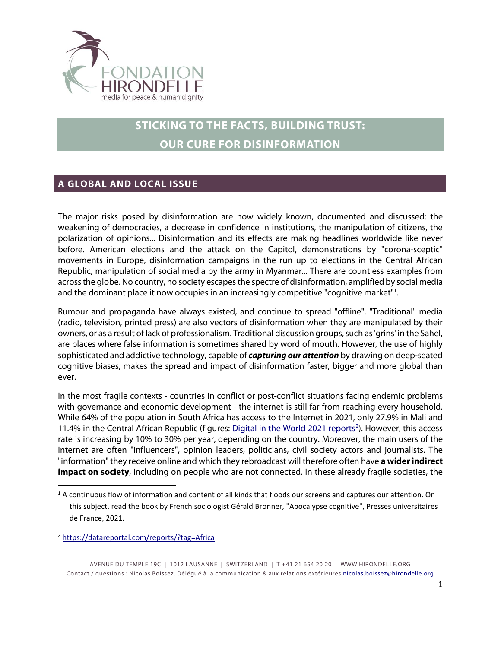

# **STICKING TO THE FACTS, BUILDING TRUST: OUR CURE FOR DISINFORMATION**

## **A GLOBAL AND LOCAL ISSUE**

The major risks posed by disinformation are now widely known, documented and discussed: the weakening of democracies, a decrease in confidence in institutions, the manipulation of citizens, the polarization of opinions... Disinformation and its effects are making headlines worldwide like never before. American elections and the attack on the Capitol, demonstrations by "corona-sceptic" movements in Europe, disinformation campaigns in the run up to elections in the Central African Republic, manipulation of social media by the army in Myanmar... There are countless examples from across the globe. No country, no society escapes the spectre of disinformation, amplified by social media and the dominant place it now occupies in an increasingly competitive "cognitive market"<sup>[1](#page-0-0)</sup>.

Rumour and propaganda have always existed, and continue to spread "offline". "Traditional" media (radio, television, printed press) are also vectors of disinformation when they are manipulated by their owners, or as a result of lack of professionalism. Traditional discussion groups, such as 'grins' in the Sahel, are places where false information is sometimes shared by word of mouth. However, the use of highly sophisticated and addictive technology, capable of *capturing our attention* by drawing on deep-seated cognitive biases, makes the spread and impact of disinformation faster, bigger and more global than ever.

In the most fragile contexts - countries in conflict or post-conflict situations facing endemic problems with governance and economic development - the internet is still far from reaching every household. While 64% of the population in South Africa has access to the Internet in 2021, only 27.9% in Mali and 11.4% in the Central African Republic (figures: [Digital in the World 2021 reports](https://datareportal.com/reports/?tag=Africa)<sup>[2](#page-0-1)</sup>). However, this access rate is increasing by 10% to 30% per year, depending on the country. Moreover, the main users of the Internet are often "influencers", opinion leaders, politicians, civil society actors and journalists. The "information" they receive online and which they rebroadcast will therefore often have **a wider indirect impact on society**, including on people who are not connected. In these already fragile societies, the

<span id="page-0-1"></span><sup>2</sup> <https://datareportal.com/reports/?tag=Africa>

AVENUE DU TEMPLE 19C | 1012 LAUSANNE | SWITZERLAND | T +41 21 654 20 20 | [WWW.HIRONDELLE.ORG](http://www.hirondelle.org/) Contact / questions : Nicolas Boissez, Délégué à la communication & aux relations extérieures [nicolas.boissez@hirondelle.org](mailto:nicolas.boissez@hirondelle.org)

<span id="page-0-0"></span> $1$  A continuous flow of information and content of all kinds that floods our screens and captures our attention. On this subject, read the book by French sociologist Gérald Bronner, "Apocalypse cognitive", Presses universitaires de France, 2021.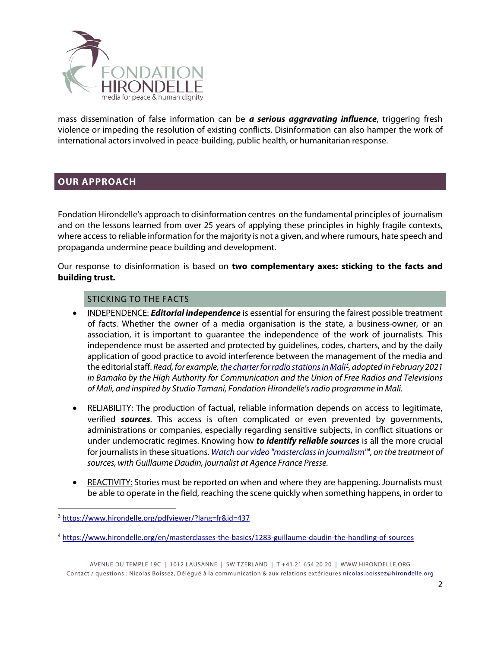

mass dissemination of false information can be *a serious aggravating influence*, triggering fresh violence or impeding the resolution of existing conflicts. Disinformation can also hamper the work of international actors involved in peace-building, public health, or humanitarian response.

### **OUR APPROACH**

Fondation Hirondelle's approach to disinformation centres on the fundamental principles of journalism and on the lessons learned from over 25 years of applying these principles in highly fragile contexts, where access to reliable information for the majority is not a given, and where rumours, hate speech and propaganda undermine peace building and development.

Our response to disinformation is based on **two complementary axes: sticking to the facts and building trust.**

#### STICKING TO THE FACTS

- INDEPENDENCE: *Editorial independence* is essential for ensuring the fairest possible treatment of facts. Whether the owner of a media organisation is the state, a business-owner, or an association, it is important to guarantee the independence of the work of journalists. This independence must be asserted and protected by guidelines, codes, charters, and by the daily application of good practice to avoid interference between the management of the media and the editorial staff. *Read, for example[, the charter for radio stations in Mali](https://www.hirondelle.org/pdfviewer/?lang=fr&id=437)[3](#page-1-0) , adopted in February 2021 in Bamako by the High Authority for Communication and the Union of Free Radios and Televisions of Mali, and inspired by Studio Tamani, Fondation Hirondelle'sradio programme in Mali.*
- RELIABILITY: The production of factual, reliable information depends on access to legitimate, verified *sources*. This access is often complicated or even prevented by governments, administrations or companies, especially regarding sensitive subjects, in conflict situations or under undemocratic regimes. Knowing how *to identify reliable sources* is all the more crucial for journalists in these situations. *[Watch our video "masterclass in journalism"](https://www.hirondelle.org/en/masterclasses-the-basics/1283-guillaume-daudin-the-handling-of-sources) [4](#page-1-1) , on the treatment of sources, with Guillaume Daudin, journalist at Agence France Presse.*
- REACTIVITY: Stories must be reported on when and where they are happening. Journalists must be able to operate in the field, reaching the scene quickly when something happens, in order to

AVENUE DU TEMPLE 19C | 1012 LAUSANNE | SWITZERLAND | T +41 21 654 20 20 | [WWW.HIRONDELLE.ORG](http://www.hirondelle.org/) Contact / questions : Nicolas Boissez, Délégué à la communication & aux relations extérieures [nicolas.boissez@hirondelle.org](mailto:nicolas.boissez@hirondelle.org)

<span id="page-1-0"></span> <sup>3</sup> <https://www.hirondelle.org/pdfviewer/?lang=fr&id=437>

<span id="page-1-1"></span><sup>4</sup> <https://www.hirondelle.org/en/masterclasses-the-basics/1283-guillaume-daudin-the-handling-of-sources>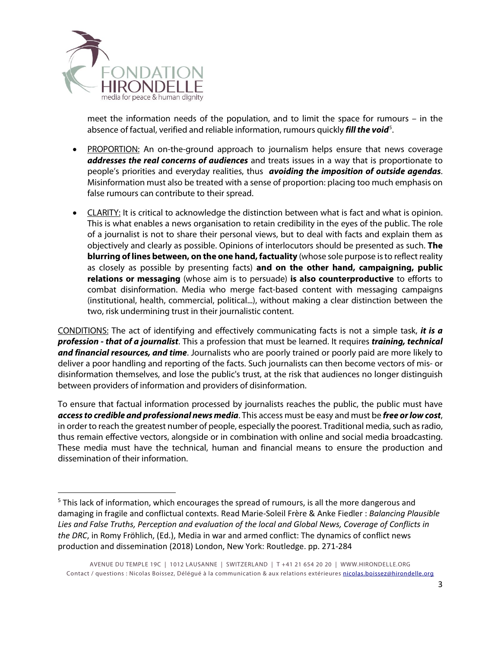

meet the information needs of the population, and to limit the space for rumours – in the absence of factual, verified and reliable information, rumours quickly *fill the void<sup>[5](#page-2-0)</sup>*.

- PROPORTION: An on-the-ground approach to journalism helps ensure that news coverage *addresses the real concerns of audiences* and treats issues in a way that is proportionate to people's priorities and everyday realities, thus *avoiding the imposition of outside agendas*. Misinformation must also be treated with a sense of proportion: placing too much emphasis on false rumours can contribute to their spread.
- CLARITY: It is critical to acknowledge the distinction between what is fact and what is opinion. This is what enables a news organisation to retain credibility in the eyes of the public. The role of a journalist is not to share their personal views, but to deal with facts and explain them as objectively and clearly as possible. Opinions of interlocutors should be presented as such. **The blurring of lines between, on the one hand, factuality** (whose sole purpose is to reflect reality as closely as possible by presenting facts) **and on the other hand, campaigning, public relations or messaging** (whose aim is to persuade) **is also counterproductive** to efforts to combat disinformation. Media who merge fact-based content with messaging campaigns (institutional, health, commercial, political...), without making a clear distinction between the two, risk undermining trust in their journalistic content.

CONDITIONS: The act of identifying and effectively communicating facts is not a simple task, *it is a profession - that of a journalist*. This a profession that must be learned. It requires *training, technical and financial resources, and time*. Journalists who are poorly trained or poorly paid are more likely to deliver a poor handling and reporting of the facts. Such journalists can then become vectors of mis- or disinformation themselves, and lose the public's trust, at the risk that audiences no longer distinguish between providers of information and providers of disinformation.

To ensure that factual information processed by journalists reaches the public, the public must have *access to credible and professional news media*. This access must be easy and must be *free orlow cost*, in order to reach the greatest number of people, especially the poorest. Traditional media, such as radio, thus remain effective vectors, alongside or in combination with online and social media broadcasting. These media must have the technical, human and financial means to ensure the production and dissemination of their information.

<span id="page-2-0"></span><sup>&</sup>lt;sup>5</sup> This lack of information, which encourages the spread of rumours, is all the more dangerous and damaging in fragile and conflictual contexts. Read Marie-Soleil Frère & Anke Fiedler : *Balancing Plausible Lies and False Truths, Perception and evaluation of the local and Global News, Coverage of Conflicts in the DRC*, in Romy Fröhlich, (Ed.), Media in war and armed conflict: The dynamics of conflict news production and dissemination (2018) London, New York: Routledge. pp. 271-284

AVENUE DU TEMPLE 19C | 1012 LAUSANNE | SWITZERLAND | T +41 21 654 20 20 | [WWW.HIRONDELLE.ORG](http://www.hirondelle.org/) Contact / questions : Nicolas Boissez, Délégué à la communication & aux relations extérieures [nicolas.boissez@hirondelle.org](mailto:nicolas.boissez@hirondelle.org)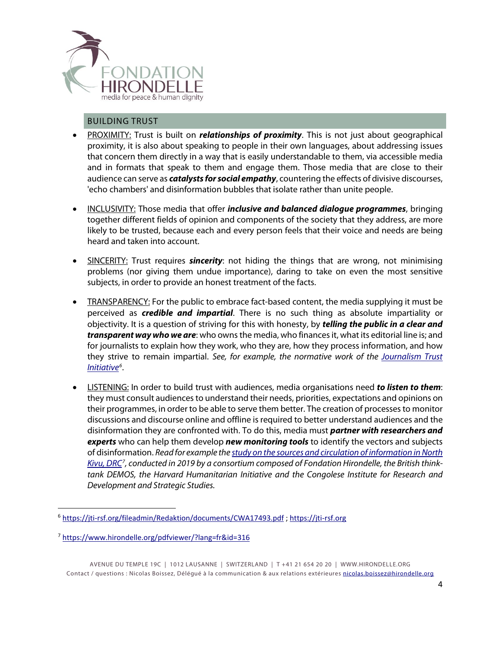

#### BUILDING TRUST

- PROXIMITY: Trust is built on *relationships of proximity*. This is not just about geographical proximity, it is also about speaking to people in their own languages, about addressing issues that concern them directly in a way that is easily understandable to them, via accessible media and in formats that speak to them and engage them. Those media that are close to their audience can serve as *catalysts for social empathy*, countering the effects of divisive discourses, 'echo chambers' and disinformation bubbles that isolate rather than unite people.
- INCLUSIVITY: Those media that offer *inclusive and balanced dialogue programmes*, bringing together different fields of opinion and components of the society that they address, are more likely to be trusted, because each and every person feels that their voice and needs are being heard and taken into account.
- SINCERITY: Trust requires *sincerity*: not hiding the things that are wrong, not minimising problems (nor giving them undue importance), daring to take on even the most sensitive subjects, in order to provide an honest treatment of the facts.
- TRANSPARENCY: For the public to embrace fact-based content, the media supplying it must be perceived as *credible and impartial*. There is no such thing as absolute impartiality or objectivity. It is a question of striving for this with honesty, by *telling the public in a clear and transparent way who we are*: who owns the media, who financesit, what its editorial line is; and for journalists to explain how they work, who they are, how they process information, and how they strive to remain impartial. *See, for example, the normative work of the [Journalism Trust](https://jti-rsf.org/fileadmin/Redaktion/documents/CWA17493.pdf)  [Initiative](https://jti-rsf.org/fileadmin/Redaktion/documents/CWA17493.pdf)[6](#page-3-0)* .
- LISTENING: In order to build trust with audiences, media organisations need *to listen to them*: they must consult audiences to understand their needs, priorities, expectations and opinions on their programmes, in order to be able to serve them better. The creation of processes to monitor discussions and discourse online and offline is required to better understand audiences and the disinformation they are confronted with. To do this, media must *partner with researchers and experts* who can help them develop *new monitoring tools* to identify the vectors and subjects of disinformation. *Read for example th[e study on the sources and circulation of information in North](https://www.hirondelle.org/pdfviewer/?lang=fr&id=316)  [Kivu, DRC](https://www.hirondelle.org/pdfviewer/?lang=fr&id=316)[7](#page-3-1) , conducted in 2019 by a consortium composed of Fondation Hirondelle, the British thinktank DEMOS, the Harvard Humanitarian Initiative and the Congolese Institute for Research and Development and Strategic Studies.*

<span id="page-3-0"></span><sup>&</sup>lt;sup>6</sup> <https://jti-rsf.org/fileadmin/Redaktion/documents/CWA17493.pdf>; [https://jti-rsf.org](https://jti-rsf.org/)

<span id="page-3-1"></span><sup>7</sup> <https://www.hirondelle.org/pdfviewer/?lang=fr&id=316>

AVENUE DU TEMPLE 19C | 1012 LAUSANNE | SWITZERLAND | T +41 21 654 20 20 | [WWW.HIRONDELLE.ORG](http://www.hirondelle.org/) Contact / questions : Nicolas Boissez, Délégué à la communication & aux relations extérieures [nicolas.boissez@hirondelle.org](mailto:nicolas.boissez@hirondelle.org)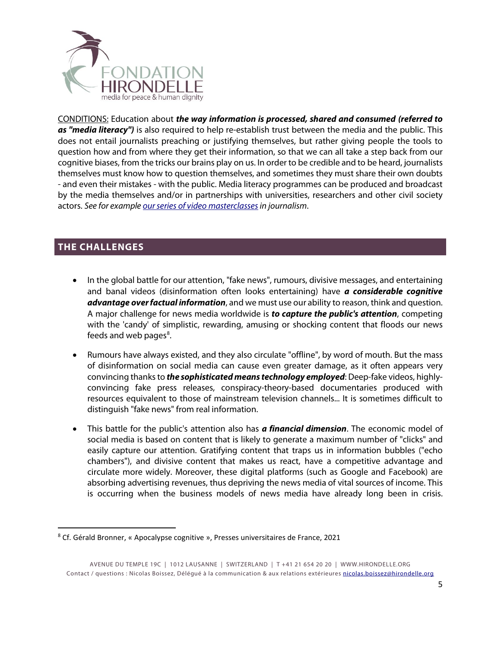

CONDITIONS: Education about *the way information is processed, shared and consumed (referred to as "media literacy")* is also required to help re-establish trust between the media and the public. This does not entail journalists preaching or justifying themselves, but rather giving people the tools to question how and from where they get their information, so that we can all take a step back from our cognitive biases, from the tricks our brains play on us. In order to be credible and to be heard, journalists themselves must know how to question themselves, and sometimes they must share their own doubts - and even their mistakes - with the public. Media literacy programmes can be produced and broadcast by the media themselves and/or in partnerships with universities, researchers and other civil society actors. *See for exampl[e our series of video masterclassesi](https://www.hirondelle.org/en/masterclasses)n journalism*.

# **THE CHALLENGES**

- In the global battle for our attention, "fake news", rumours, divisive messages, and entertaining and banal videos (disinformation often looks entertaining) have *a considerable cognitive advantage over factual information*, and we must use our ability to reason, think and question. A major challenge for news media worldwide is *to capture the public's attention*, competing with the 'candy' of simplistic, rewarding, amusing or shocking content that floods our news feeds and web pages<sup>[8](#page-4-0)</sup>.
- Rumours have always existed, and they also circulate "offline", by word of mouth. But the mass of disinformation on social media can cause even greater damage, as it often appears very convincing thanks to *the sophisticated means technology employed*: Deep-fake videos, highlyconvincing fake press releases, conspiracy-theory-based documentaries produced with resources equivalent to those of mainstream television channels... It is sometimes difficult to distinguish "fake news" from real information.
- This battle for the public's attention also has *a financial dimension*. The economic model of social media is based on content that is likely to generate a maximum number of "clicks" and easily capture our attention. Gratifying content that traps us in information bubbles ("echo chambers"), and divisive content that makes us react, have a competitive advantage and circulate more widely. Moreover, these digital platforms (such as Google and Facebook) are absorbing advertising revenues, thus depriving the news media of vital sources of income. This is occurring when the business models of news media have already long been in crisis.

<span id="page-4-0"></span> <sup>8</sup> Cf. Gérald Bronner, « Apocalypse cognitive », Presses universitaires de France, 2021

AVENUE DU TEMPLE 19C | 1012 LAUSANNE | SWITZERLAND | T +41 21 654 20 20 | [WWW.HIRONDELLE.ORG](http://www.hirondelle.org/) Contact / questions : Nicolas Boissez, Délégué à la communication & aux relations extérieures [nicolas.boissez@hirondelle.org](mailto:nicolas.boissez@hirondelle.org)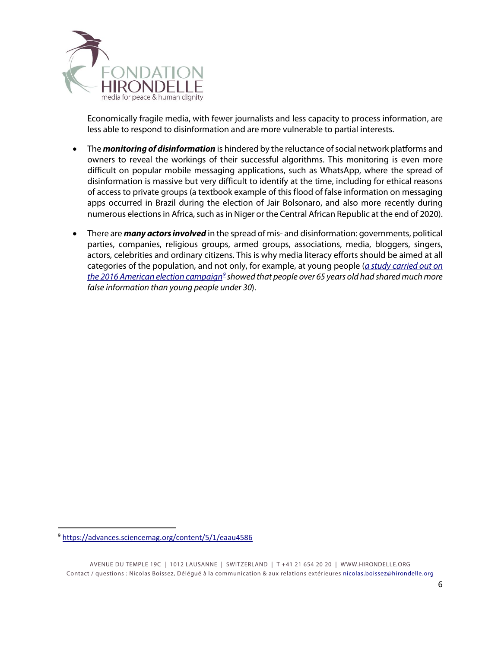

Economically fragile media, with fewer journalists and less capacity to process information, are less able to respond to disinformation and are more vulnerable to partial interests.

- The *monitoring of disinformation* is hindered by the reluctance of social network platforms and owners to reveal the workings of their successful algorithms. This monitoring is even more difficult on popular mobile messaging applications, such as WhatsApp, where the spread of disinformation is massive but very difficult to identify at the time, including for ethical reasons of access to private groups (a textbook example of this flood of false information on messaging apps occurred in Brazil during the election of Jair Bolsonaro, and also more recently during numerous elections in Africa, such as in Niger or the Central African Republic at the end of 2020).
- There are *many actors involved* in the spread of mis- and disinformation: governments, political parties, companies, religious groups, armed groups, associations, media, bloggers, singers, actors, celebrities and ordinary citizens. This is why media literacy efforts should be aimed at all categories of the population, and not only, for example, at young people (*[a study carried out on](https://advances.sciencemag.org/content/5/1/eaau4586)  [the 2016 American election campaign](https://advances.sciencemag.org/content/5/1/eaau4586)[9](#page-5-0) showed that people over 65 years old had shared much more false information than young people under 30*).

<span id="page-5-0"></span> <sup>9</sup> <https://advances.sciencemag.org/content/5/1/eaau4586>

AVENUE DU TEMPLE 19C | 1012 LAUSANNE | SWITZERLAND | T +41 21 654 20 20 | [WWW.HIRONDELLE.ORG](http://www.hirondelle.org/) Contact / questions : Nicolas Boissez, Délégué à la communication & aux relations extérieures [nicolas.boissez@hirondelle.org](mailto:nicolas.boissez@hirondelle.org)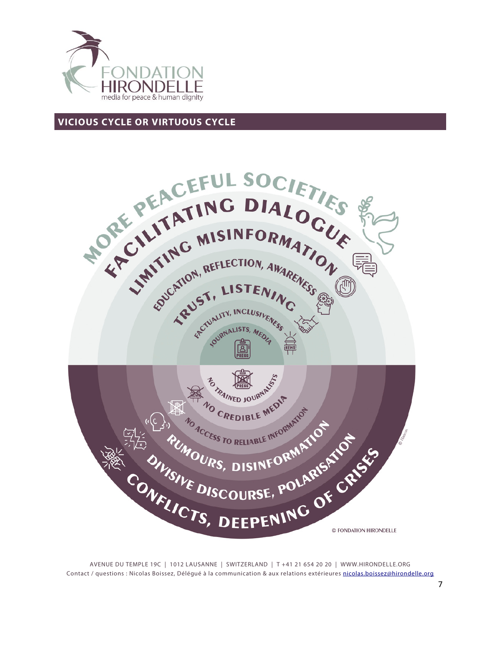

## **VICIOUS CYCLE OR VIRTUOUS CYCLE**



AVENUE DU TEMPLE 19C | 1012 LAUSANNE | SWITZERLAND | T +41 21 654 20 20 | [WWW.HIRONDELLE.ORG](http://www.hirondelle.org/) Contact / questions : Nicolas Boissez, Délégué à la communication & aux relations extérieures [nicolas.boissez@hirondelle.org](mailto:nicolas.boissez@hirondelle.org)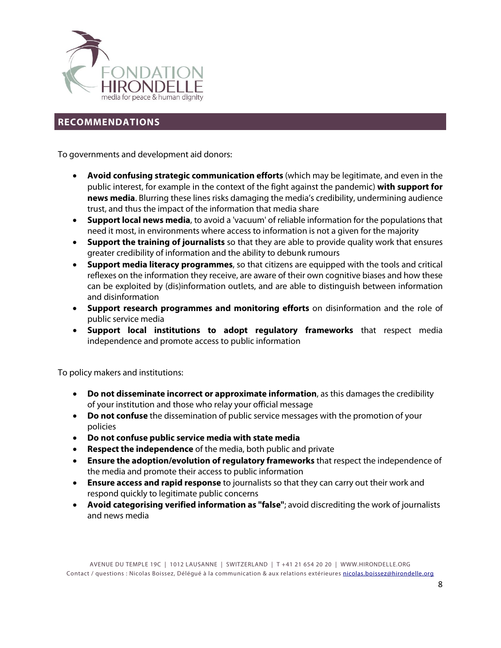

## **RECOMMENDATIONS**

To governments and development aid donors:

- **Avoid confusing strategic communication efforts** (which may be legitimate, and even in the public interest, for example in the context of the fight against the pandemic) **with support for news media**. Blurring these lines risks damaging the media's credibility, undermining audience trust, and thus the impact of the information that media share
- **Support local news media**, to avoid a 'vacuum' of reliable information for the populations that need it most, in environments where access to information is not a given for the majority
- **Support the training of journalists** so that they are able to provide quality work that ensures greater credibility of information and the ability to debunk rumours
- **Support media literacy programmes**, so that citizens are equipped with the tools and critical reflexes on the information they receive, are aware of their own cognitive biases and how these can be exploited by (dis)information outlets, and are able to distinguish between information and disinformation
- **Support research programmes and monitoring efforts** on disinformation and the role of public service media
- **Support local institutions to adopt regulatory frameworks** that respect media independence and promote access to public information

To policy makers and institutions:

- **Do not disseminate incorrect or approximate information**, as this damages the credibility of your institution and those who relay your official message
- **Do not confuse** the dissemination of public service messages with the promotion of your policies
- **Do not confuse public service media with state media**
- **Respect the independence** of the media, both public and private
- **Ensure the adoption/evolution of regulatory frameworks** that respect the independence of the media and promote their access to public information
- **Ensure access and rapid response** to journalists so that they can carry out their work and respond quickly to legitimate public concerns
- **Avoid categorising verified information as "false"**; avoid discrediting the work of journalists and news media